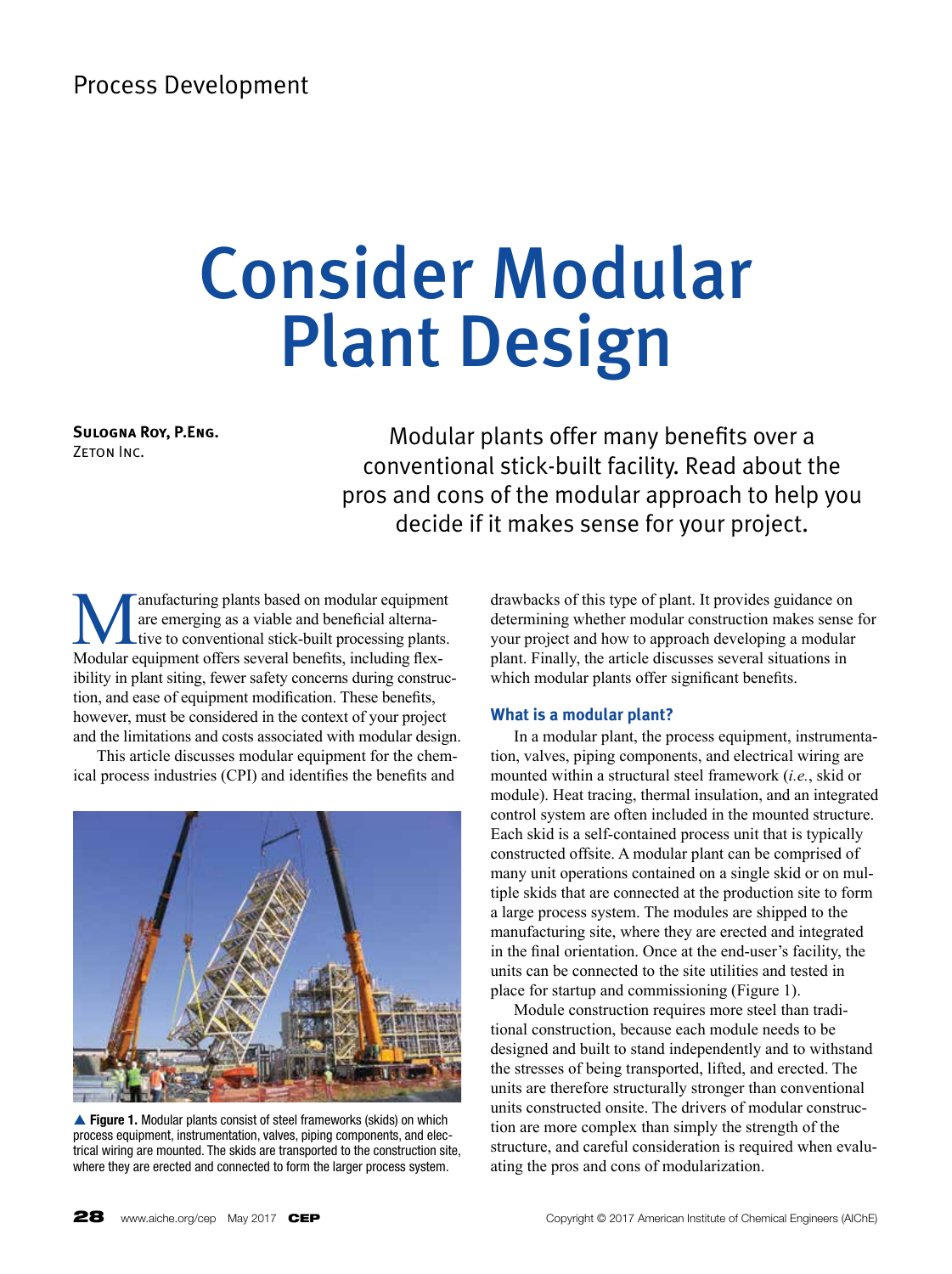# Consider Modular Plant Design

**Sulogna Roy, P.Eng. ZETON INC.** 

Modular plants offer many benefits over a conventional stick-built facility. Read about the pros and cons of the modular approach to help you decide if it makes sense for your project.

**Manufacturing plants based on modular equipment**<br>are emerging as a viable and beneficial alternative<br>to conventional stick-built processing plants.<br>Modular equipment offers several benefits including flexare emerging as a viable and beneficial alternative to conventional stick-built processing plants. Modular equipment offers several benefits, including flexibility in plant siting, fewer safety concerns during construction, and ease of equipment modification. These benefits, however, must be considered in the context of your project and the limitations and costs associated with modular design.

This article discusses modular equipment for the chemical process industries (CPI) and identifies the benefits and



▲ Figure 1. Modular plants consist of steel frameworks (skids) on which process equipment, instrumentation, valves, piping components, and electrical wiring are mounted. The skids are transported to the construction site, where they are erected and connected to form the larger process system.

drawbacks of this type of plant. It provides guidance on determining whether modular construction makes sense for your project and how to approach developing a modular plant. Finally, the article discusses several situations in which modular plants offer significant benefits.

# **What is a modular plant?**

In a modular plant, the process equipment, instrumentation, valves, piping components, and electrical wiring are mounted within a structural steel framework (*i.e.*, skid or module). Heat tracing, thermal insulation, and an integrated control system are often included in the mounted structure. Each skid is a self-contained process unit that is typically constructed offsite. A modular plant can be comprised of many unit operations contained on a single skid or on multiple skids that are connected at the production site to form a large process system. The modules are shipped to the manufacturing site, where they are erected and integrated in the final orientation. Once at the end-user's facility, the units can be connected to the site utilities and tested in place for startup and commissioning (Figure 1).

Module construction requires more steel than traditional construction, because each module needs to be designed and built to stand independently and to withstand the stresses of being transported, lifted, and erected. The units are therefore structurally stronger than conventional units constructed onsite. The drivers of modular construction are more complex than simply the strength of the structure, and careful consideration is required when evaluating the pros and cons of modularization.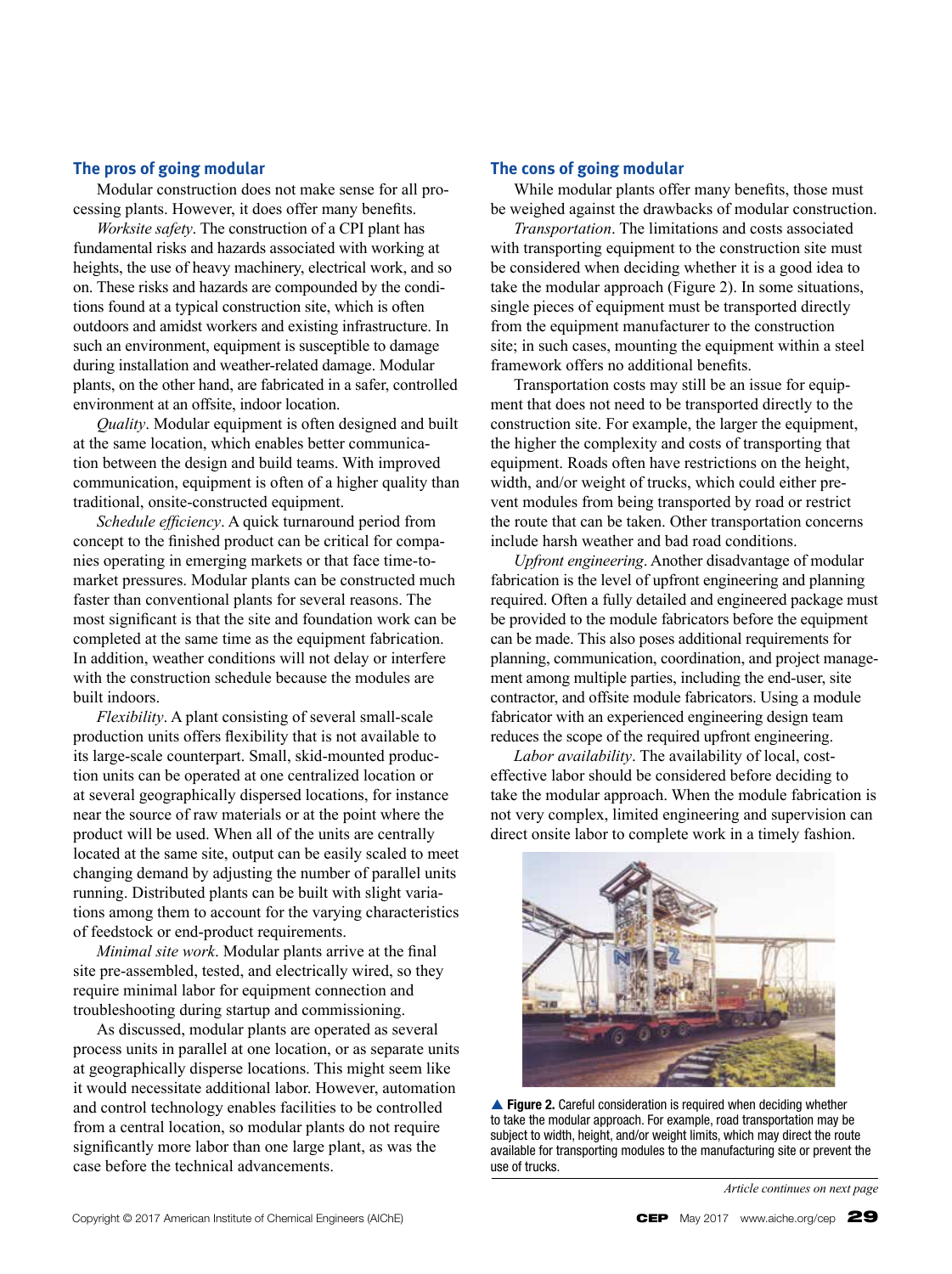# **The pros of going modular**

Modular construction does not make sense for all processing plants. However, it does offer many benefits.

*Worksite safety*. The construction of a CPI plant has fundamental risks and hazards associated with working at heights, the use of heavy machinery, electrical work, and so on. These risks and hazards are compounded by the conditions found at a typical construction site, which is often outdoors and amidst workers and existing infrastructure. In such an environment, equipment is susceptible to damage during installation and weather-related damage. Modular plants, on the other hand, are fabricated in a safer, controlled environment at an offsite, indoor location.

*Quality*. Modular equipment is often designed and built at the same location, which enables better communication between the design and build teams. With improved communication, equipment is often of a higher quality than traditional, onsite-constructed equipment.

*Schedule efficiency*. A quick turnaround period from concept to the finished product can be critical for companies operating in emerging markets or that face time-tomarket pressures. Modular plants can be constructed much faster than conventional plants for several reasons. The most significant is that the site and foundation work can be completed at the same time as the equipment fabrication. In addition, weather conditions will not delay or interfere with the construction schedule because the modules are built indoors.

*Flexibility*. A plant consisting of several small-scale production units offers flexibility that is not available to its large-scale counterpart. Small, skid-mounted production units can be operated at one centralized location or at several geographically dispersed locations, for instance near the source of raw materials or at the point where the product will be used. When all of the units are centrally located at the same site, output can be easily scaled to meet changing demand by adjusting the number of parallel units running. Distributed plants can be built with slight variations among them to account for the varying characteristics of feedstock or end-product requirements.

*Minimal site work*. Modular plants arrive at the final site pre-assembled, tested, and electrically wired, so they require minimal labor for equipment connection and troubleshooting during startup and commissioning.

As discussed, modular plants are operated as several process units in parallel at one location, or as separate units at geographically disperse locations. This might seem like it would necessitate additional labor. However, automation and control technology enables facilities to be controlled from a central location, so modular plants do not require significantly more labor than one large plant, as was the case before the technical advancements.

# **The cons of going modular**

While modular plants offer many benefits, those must be weighed against the drawbacks of modular construction.

*Transportation*. The limitations and costs associated with transporting equipment to the construction site must be considered when deciding whether it is a good idea to take the modular approach (Figure 2). In some situations, single pieces of equipment must be transported directly from the equipment manufacturer to the construction site; in such cases, mounting the equipment within a steel framework offers no additional benefits.

Transportation costs may still be an issue for equipment that does not need to be transported directly to the construction site. For example, the larger the equipment, the higher the complexity and costs of transporting that equipment. Roads often have restrictions on the height, width, and/or weight of trucks, which could either prevent modules from being transported by road or restrict the route that can be taken. Other transportation concerns include harsh weather and bad road conditions.

*Upfront engineering*. Another disadvantage of modular fabrication is the level of upfront engineering and planning required. Often a fully detailed and engineered package must be provided to the module fabricators before the equipment can be made. This also poses additional requirements for planning, communication, coordination, and project management among multiple parties, including the end-user, site contractor, and offsite module fabricators. Using a module fabricator with an experienced engineering design team reduces the scope of the required upfront engineering.

*Labor availability*. The availability of local, costeffective labor should be considered before deciding to take the modular approach. When the module fabrication is not very complex, limited engineering and supervision can direct onsite labor to complete work in a timely fashion.



▲ Figure 2. Careful consideration is required when deciding whether to take the modular approach. For example, road transportation may be subject to width, height, and/or weight limits, which may direct the route available for transporting modules to the manufacturing site or prevent the use of trucks.

*Article continues on next page*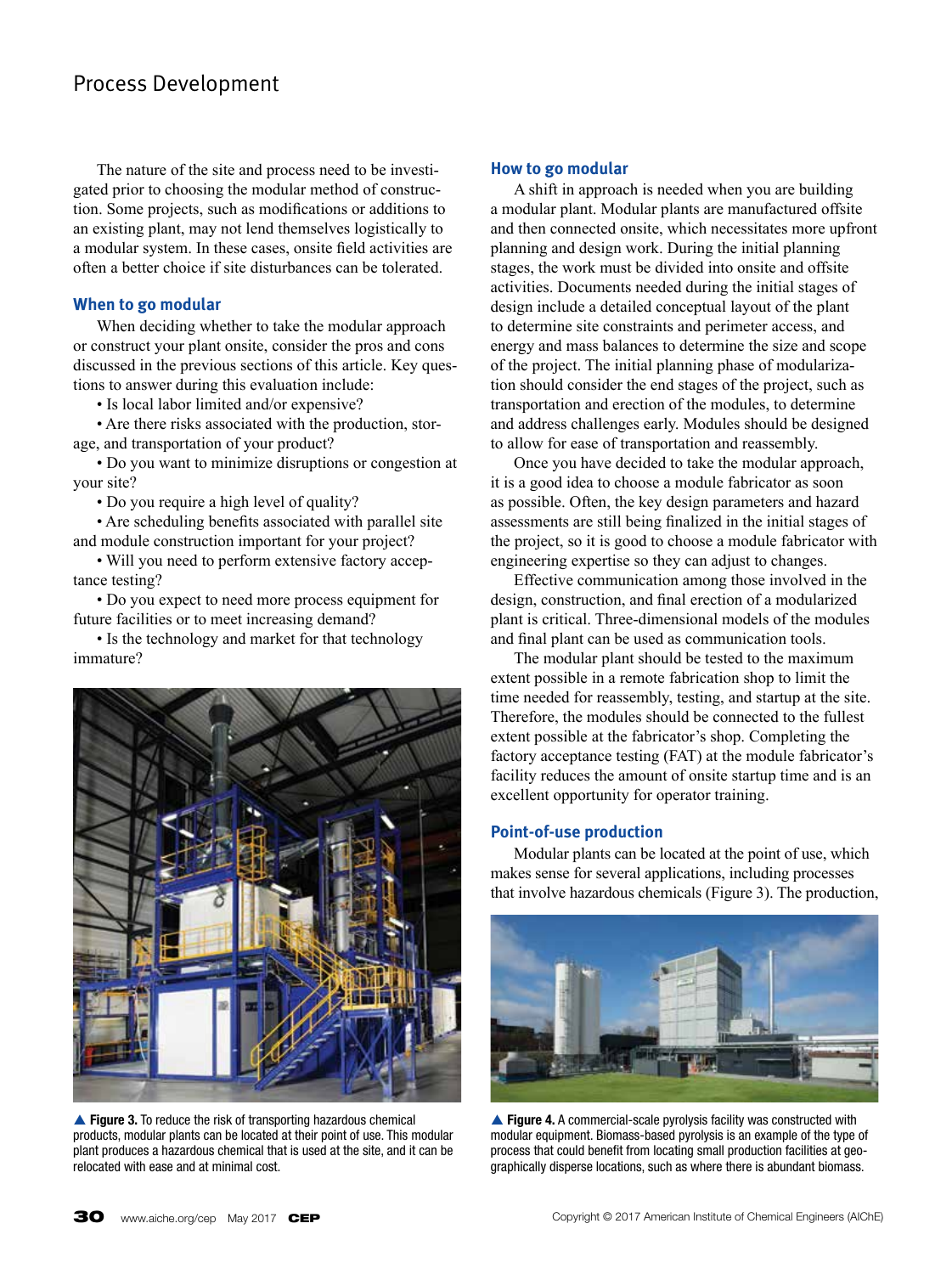The nature of the site and process need to be investigated prior to choosing the modular method of construction. Some projects, such as modifications or additions to an existing plant, may not lend themselves logistically to a modular system. In these cases, onsite field activities are often a better choice if site disturbances can be tolerated.

# **When to go modular**

When deciding whether to take the modular approach or construct your plant onsite, consider the pros and cons discussed in the previous sections of this article. Key questions to answer during this evaluation include:

• Is local labor limited and/or expensive?

• Are there risks associated with the production, storage, and transportation of your product?

• Do you want to minimize disruptions or congestion at your site?

• Do you require a high level of quality?

• Are scheduling benefits associated with parallel site and module construction important for your project?

• Will you need to perform extensive factory acceptance testing?

• Do you expect to need more process equipment for future facilities or to meet increasing demand?

• Is the technology and market for that technology immature?



▲ Figure 3. To reduce the risk of transporting hazardous chemical products, modular plants can be located at their point of use. This modular plant produces a hazardous chemical that is used at the site, and it can be relocated with ease and at minimal cost.

### **How to go modular**

A shift in approach is needed when you are building a modular plant. Modular plants are manufactured offsite and then connected onsite, which necessitates more upfront planning and design work. During the initial planning stages, the work must be divided into onsite and offsite activities. Documents needed during the initial stages of design include a detailed conceptual layout of the plant to determine site constraints and perimeter access, and energy and mass balances to determine the size and scope of the project. The initial planning phase of modularization should consider the end stages of the project, such as transportation and erection of the modules, to determine and address challenges early. Modules should be designed to allow for ease of transportation and reassembly.

Once you have decided to take the modular approach, it is a good idea to choose a module fabricator as soon as possible. Often, the key design parameters and hazard assessments are still being finalized in the initial stages of the project, so it is good to choose a module fabricator with engineering expertise so they can adjust to changes.

Effective communication among those involved in the design, construction, and final erection of a modularized plant is critical. Three-dimensional models of the modules and final plant can be used as communication tools.

The modular plant should be tested to the maximum extent possible in a remote fabrication shop to limit the time needed for reassembly, testing, and startup at the site. Therefore, the modules should be connected to the fullest extent possible at the fabricator's shop. Completing the factory acceptance testing (FAT) at the module fabricator's facility reduces the amount of onsite startup time and is an excellent opportunity for operator training.

# **Point-of-use production**

Modular plants can be located at the point of use, which makes sense for several applications, including processes that involve hazardous chemicals (Figure 3). The production,



▲ Figure 4. A commercial-scale pyrolysis facility was constructed with modular equipment. Biomass-based pyrolysis is an example of the type of process that could benefit from locating small production facilities at geographically disperse locations, such as where there is abundant biomass.